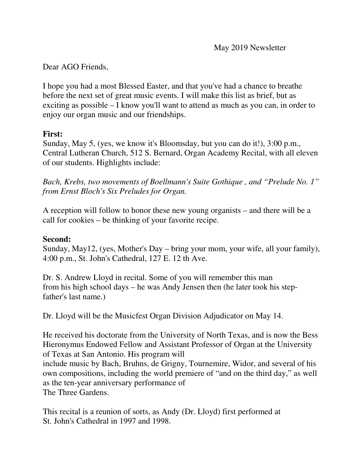### Dear AGO Friends,

I hope you had a most Blessed Easter, and that you've had a chance to breathe before the next set of great music events. I will make this list as brief, but as exciting as possible – I know you'll want to attend as much as you can, in order to enjoy our organ music and our friendships.

# **First:**

Sunday, May 5, (yes, we know it's Bloomsday, but you can do it!), 3:00 p.m., Central Lutheran Church, 512 S. Bernard, Organ Academy Recital, with all eleven of our students. Highlights include:

*Bach, Krebs, two movements of Boellmann's Suite Gothique , and "Prelude No. 1" from Ernst Bloch's Six Preludes for Organ.* 

A reception will follow to honor these new young organists – and there will be a call for cookies – be thinking of your favorite recipe.

### **Second:**

Sunday, May12, (yes, Mother's Day – bring your mom, your wife, all your family), 4:00 p.m., St. John's Cathedral, 127 E. 12 th Ave.

Dr. S. Andrew Lloyd in recital. Some of you will remember this man from his high school days – he was Andy Jensen then (he later took his stepfather's last name.)

Dr. Lloyd will be the Musicfest Organ Division Adjudicator on May 14.

He received his doctorate from the University of North Texas, and is now the Bess Hieronymus Endowed Fellow and Assistant Professor of Organ at the University of Texas at San Antonio. His program will include music by Bach, Bruhns, de Grigny, Tournemire, Widor, and several of his own compositions, including the world premiere of "and on the third day," as well as the ten-year anniversary performance of The Three Gardens.

This recital is a reunion of sorts, as Andy (Dr. Lloyd) first performed at St. John's Cathedral in 1997 and 1998.